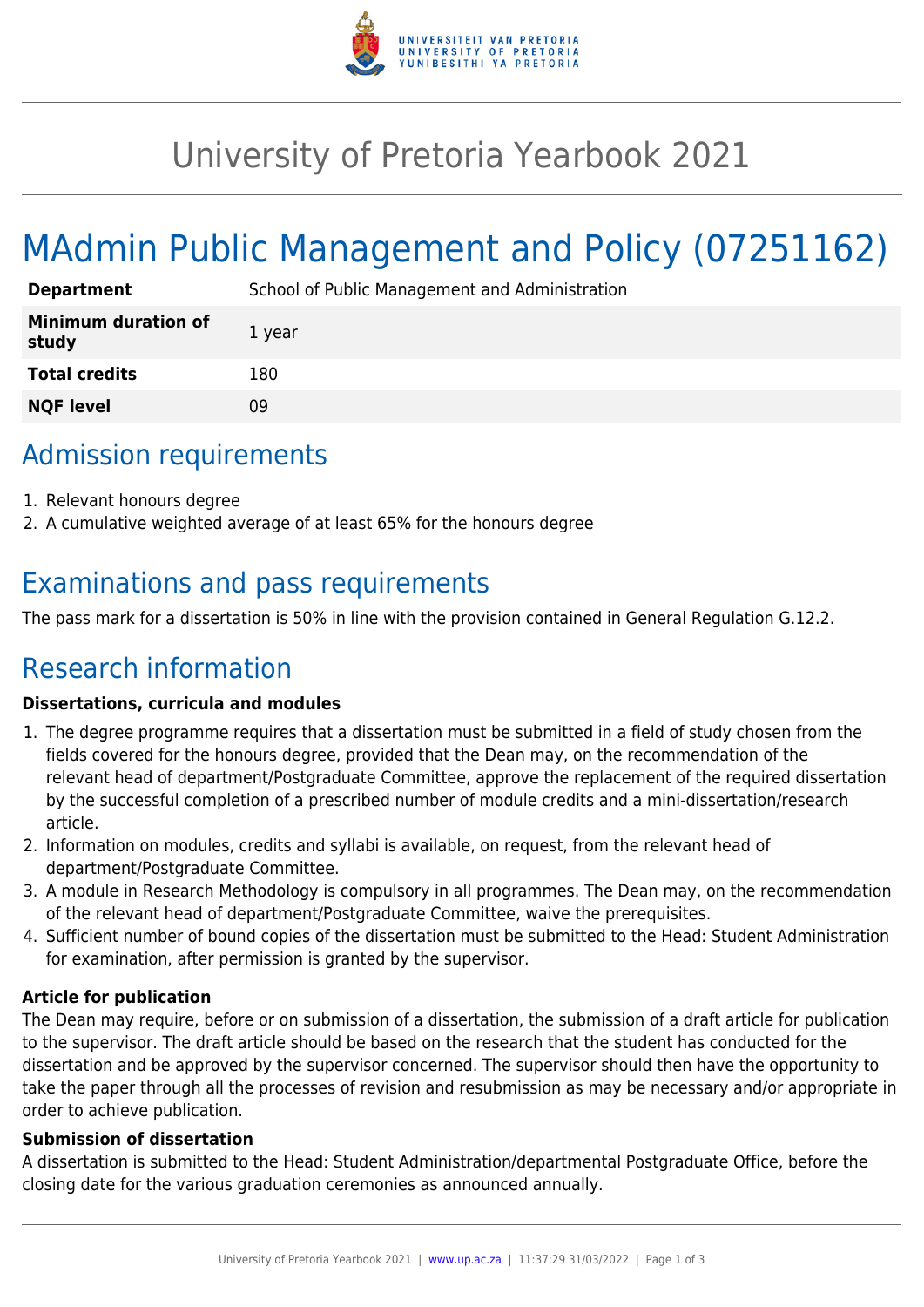

## University of Pretoria Yearbook 2021

# MAdmin Public Management and Policy (07251162)

| <b>Department</b>                   | School of Public Management and Administration |
|-------------------------------------|------------------------------------------------|
| <b>Minimum duration of</b><br>study | 1 year                                         |
| <b>Total credits</b>                | 180                                            |
| <b>NQF level</b>                    | 09                                             |

### Admission requirements

- 1. Relevant honours degree
- 2. A cumulative weighted average of at least 65% for the honours degree

## Examinations and pass requirements

The pass mark for a dissertation is 50% in line with the provision contained in General Regulation G.12.2.

## Research information

#### **Dissertations, curricula and modules**

- 1. The degree programme requires that a dissertation must be submitted in a field of study chosen from the fields covered for the honours degree, provided that the Dean may, on the recommendation of the relevant head of department/Postgraduate Committee, approve the replacement of the required dissertation by the successful completion of a prescribed number of module credits and a mini-dissertation/research article.
- 2. Information on modules, credits and syllabi is available, on request, from the relevant head of department/Postgraduate Committee.
- 3. A module in Research Methodology is compulsory in all programmes. The Dean may, on the recommendation of the relevant head of department/Postgraduate Committee, waive the prerequisites.
- 4. Sufficient number of bound copies of the dissertation must be submitted to the Head: Student Administration for examination, after permission is granted by the supervisor.

#### **Article for publication**

The Dean may require, before or on submission of a dissertation, the submission of a draft article for publication to the supervisor. The draft article should be based on the research that the student has conducted for the dissertation and be approved by the supervisor concerned. The supervisor should then have the opportunity to take the paper through all the processes of revision and resubmission as may be necessary and/or appropriate in order to achieve publication.

#### **Submission of dissertation**

A dissertation is submitted to the Head: Student Administration/departmental Postgraduate Office, before the closing date for the various graduation ceremonies as announced annually.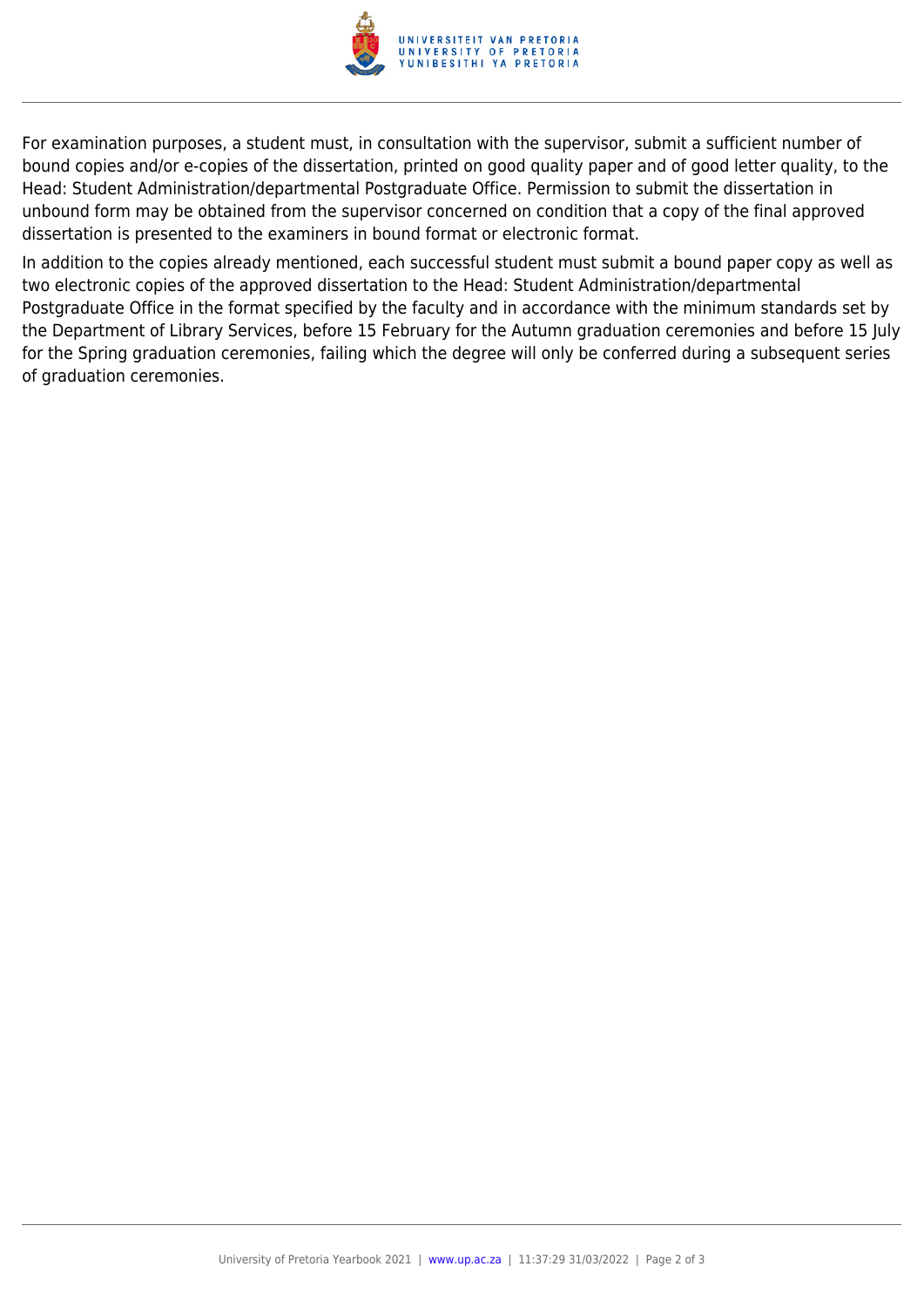

For examination purposes, a student must, in consultation with the supervisor, submit a sufficient number of bound copies and/or e-copies of the dissertation, printed on good quality paper and of good letter quality, to the Head: Student Administration/departmental Postgraduate Office. Permission to submit the dissertation in unbound form may be obtained from the supervisor concerned on condition that a copy of the final approved dissertation is presented to the examiners in bound format or electronic format.

In addition to the copies already mentioned, each successful student must submit a bound paper copy as well as two electronic copies of the approved dissertation to the Head: Student Administration/departmental Postgraduate Office in the format specified by the faculty and in accordance with the minimum standards set by the Department of Library Services, before 15 February for the Autumn graduation ceremonies and before 15 July for the Spring graduation ceremonies, failing which the degree will only be conferred during a subsequent series of graduation ceremonies.